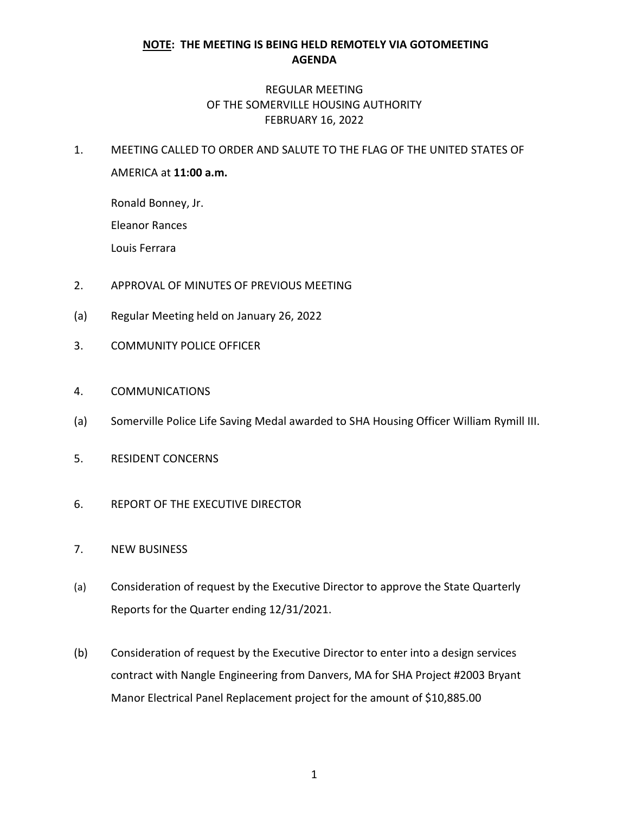## **NOTE: THE MEETING IS BEING HELD REMOTELY VIA GOTOMEETING AGENDA**

## REGULAR MEETING OF THE SOMERVILLE HOUSING AUTHORITY FEBRUARY 16, 2022

1. MEETING CALLED TO ORDER AND SALUTE TO THE FLAG OF THE UNITED STATES OF AMERICA at **11:00 a.m.**

Ronald Bonney, Jr.

Eleanor Rances

Louis Ferrara

- 2. APPROVAL OF MINUTES OF PREVIOUS MEETING
- (a) Regular Meeting held on January 26, 2022
- 3. COMMUNITY POLICE OFFICER
- 4. COMMUNICATIONS
- (a) Somerville Police Life Saving Medal awarded to SHA Housing Officer William Rymill III.
- 5. RESIDENT CONCERNS
- 6. REPORT OF THE EXECUTIVE DIRECTOR
- 7. NEW BUSINESS
- (a) Consideration of request by the Executive Director to approve the State Quarterly Reports for the Quarter ending 12/31/2021.
- (b) Consideration of request by the Executive Director to enter into a design services contract with Nangle Engineering from Danvers, MA for SHA Project #2003 Bryant Manor Electrical Panel Replacement project for the amount of \$10,885.00